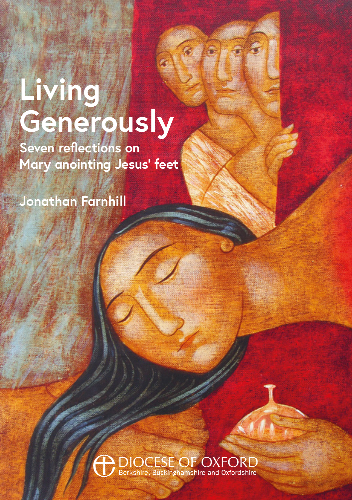# **Living Generously**

**Seven reflections on Mary anointing Jesus' feet**

**Jonathan Farnhill**

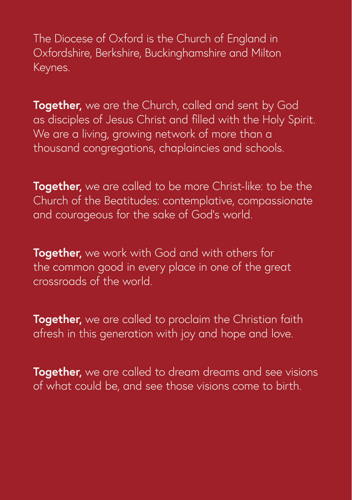The Diocese of Oxford is the Church of England in Oxfordshire, Berkshire, Buckinghamshire and Milton Keynes.

**Together,** we are the Church, called and sent by God as disciples of Jesus Christ and filled with the Holy Spirit. We are a living, growing network of more than a thousand congregations, chaplaincies and schools.

**Together,** we are called to be more Christ-like: to be the Church of the Beatitudes: contemplative, compassionate and courageous for the sake of God's world.

**Together,** we work with God and with others for the common good in every place in one of the great crossroads of the world.

**Together,** we are called to proclaim the Christian faith afresh in this generation with joy and hope and love.

**Together,** we are called to dream dreams and see visions of what could be, and see those visions come to birth.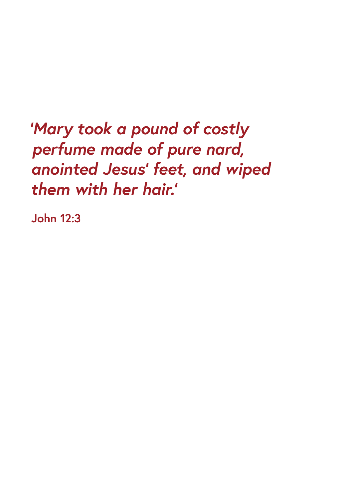*'Mary took a pound of costly perfume made of pure nard, anointed Jesus' feet, and wiped them with her hair.'*

**John 12:3**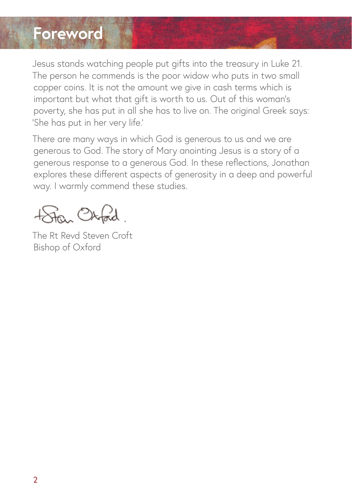#### **Foreword**

Jesus stands watching people put gifts into the treasury in Luke 21. The person he commends is the poor widow who puts in two small copper coins. It is not the amount we give in cash terms which is important but what that gift is worth to us. Out of this woman's poverty, she has put in all she has to live on. The original Greek says: 'She has put in her very life.'

There are many ways in which God is generous to us and we are generous to God. The story of Mary anointing Jesus is a story of a generous response to a generous God. In these reflections, Jonathan explores these different aspects of generosity in a deep and powerful way. I warmly commend these studies.

totan Otokd

The Rt Revd Steven Croft Bishop of Oxford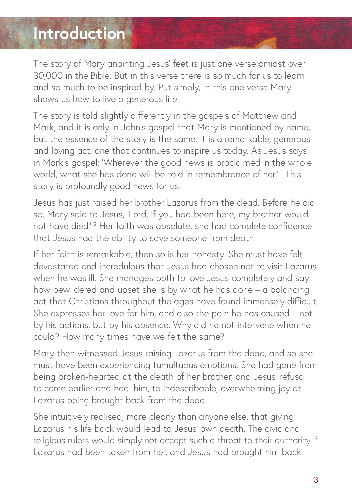### **Introduction**

The story of Mary anointing Jesus' feet is just one verse amidst over 30,000 in the Bible. But in this verse there is so much for us to learn and so much to be inspired by. Put simply, in this one verse Mary shows us how to live a generous life.

The story is told slightly differently in the gospels of Matthew and Mark, and it is only in John's gospel that Mary is mentioned by name, but the essence of the story is the same. It is a remarkable, generous and loving act, one that continues to inspire us today. As Jesus says in Mark's gospel: 'Wherever the good news is proclaimed in the whole world, what she has done will be told in remembrance of her.' <sup>1</sup> This story is profoundly good news for us.

Jesus has just raised her brother Lazarus from the dead. Before he did so, Mary said to Jesus, 'Lord, if you had been here, my brother would not have died.' <sup>2</sup> Her faith was absolute; she had complete confidence that Jesus had the ability to save someone from death.

If her faith is remarkable, then so is her honesty. She must have felt devastated and incredulous that Jesus had chosen not to visit Lazarus when he was ill. She manages both to love Jesus completely and say how bewildered and upset she is by what he has done – a balancing act that Christians throughout the ages have found immensely difficult. She expresses her love for him, and also the pain he has caused – not by his actions, but by his absence. Why did he not intervene when he could? How many times have we felt the same?

Mary then witnessed Jesus raising Lazarus from the dead, and so she must have been experiencing tumultuous emotions. She had gone from being broken-hearted at the death of her brother, and Jesus' refusal to come earlier and heal him, to indescribable, overwhelming joy at Lazarus being brought back from the dead.

She intuitively realised, more clearly than anyone else, that giving Lazarus his life back would lead to Jesus' own death. The civic and religious rulers would simply not accept such a threat to their authority. <sup>3</sup> Lazarus had been taken from her, and Jesus had brought him back.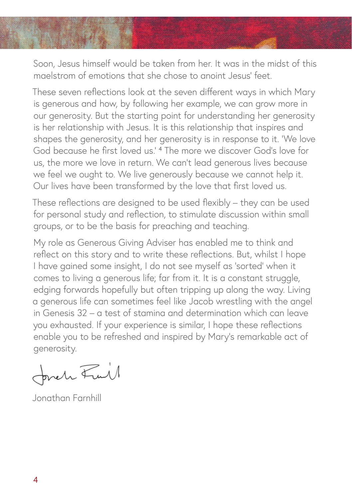Soon, Jesus himself would be taken from her. It was in the midst of this maelstrom of emotions that she chose to anoint Jesus' feet.

These seven reflections look at the seven different ways in which Mary is generous and how, by following her example, we can grow more in our generosity. But the starting point for understanding her generosity is her relationship with Jesus. It is this relationship that inspires and shapes the generosity, and her generosity is in response to it. 'We love God because he first loved us.' <sup>4</sup> The more we discover God's love for us, the more we love in return. We can't lead generous lives because we feel we ought to. We live generously because we cannot help it. Our lives have been transformed by the love that first loved us.

These reflections are designed to be used flexibly – they can be used for personal study and reflection, to stimulate discussion within small groups, or to be the basis for preaching and teaching.

My role as Generous Giving Adviser has enabled me to think and reflect on this story and to write these reflections. But, whilst I hope I have gained some insight, I do not see myself as 'sorted' when it comes to living a generous life; far from it. It is a constant struggle, edging forwards hopefully but often tripping up along the way. Living a generous life can sometimes feel like Jacob wrestling with the angel in Genesis 32 – a test of stamina and determination which can leave you exhausted. If your experience is similar, I hope these reflections enable you to be refreshed and inspired by Mary's remarkable act of generosity.

forch Full

Jonathan Farnhill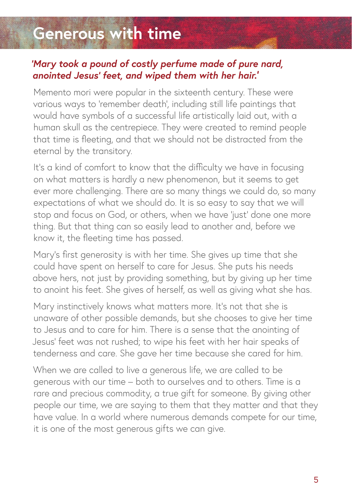## **Generous with time**

#### *'Mary took a pound of costly perfume made of pure nard, anointed Jesus' feet, and wiped them with her hair.'*

Memento mori were popular in the sixteenth century. These were various ways to 'remember death', including still life paintings that would have symbols of a successful life artistically laid out, with a human skull as the centrepiece. They were created to remind people that time is fleeting, and that we should not be distracted from the eternal by the transitory.

It's a kind of comfort to know that the difficulty we have in focusing on what matters is hardly a new phenomenon, but it seems to get ever more challenging. There are so many things we could do, so many expectations of what we should do. It is so easy to say that we will stop and focus on God, or others, when we have 'just' done one more thing. But that thing can so easily lead to another and, before we know it, the fleeting time has passed.

Mary's first generosity is with her time. She gives up time that she could have spent on herself to care for Jesus. She puts his needs above hers, not just by providing something, but by giving up her time to anoint his feet. She gives of herself, as well as giving what she has.

Mary instinctively knows what matters more. It's not that she is unaware of other possible demands, but she chooses to give her time to Jesus and to care for him. There is a sense that the anointing of Jesus' feet was not rushed; to wipe his feet with her hair speaks of tenderness and care. She gave her time because she cared for him.

When we are called to live a generous life, we are called to be generous with our time – both to ourselves and to others. Time is a rare and precious commodity, a true gift for someone. By giving other people our time, we are saying to them that they matter and that they have value. In a world where numerous demands compete for our time, it is one of the most generous gifts we can give.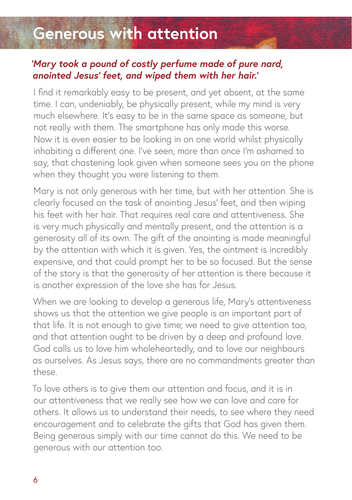## **Generous with attention**

#### *'Mary took a pound of costly perfume made of pure nard, anointed Jesus' feet, and wiped them with her hair.'*

I find it remarkably easy to be present, and yet absent, at the same time. I can, undeniably, be physically present, while my mind is very much elsewhere. It's easy to be in the same space as someone, but not really with them. The smartphone has only made this worse. Now it is even easier to be looking in on one world whilst physically inhabiting a different one. I've seen, more than once I'm ashamed to say, that chastening look given when someone sees you on the phone when they thought you were listening to them.

Mary is not only generous with her time, but with her attention. She is clearly focused on the task of anointing Jesus' feet, and then wiping his feet with her hair. That requires real care and attentiveness. She is very much physically and mentally present, and the attention is a generosity all of its own. The gift of the anointing is made meaningful by the attention with which it is given. Yes, the ointment is incredibly expensive, and that could prompt her to be so focused. But the sense of the story is that the generosity of her attention is there because it is another expression of the love she has for Jesus.

When we are looking to develop a generous life, Mary's attentiveness shows us that the attention we give people is an important part of that life. It is not enough to give time; we need to give attention too, and that attention ought to be driven by a deep and profound love. God calls us to love him wholeheartedly, and to love our neighbours as ourselves. As Jesus says, there are no commandments greater than these.

To love others is to give them our attention and focus, and it is in our attentiveness that we really see how we can love and care for others. It allows us to understand their needs, to see where they need encouragement and to celebrate the gifts that God has given them. Being generous simply with our time cannot do this. We need to be generous with our attention too.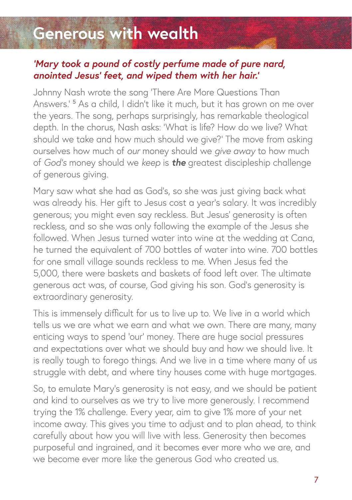### **Generous with wealth**

#### *'Mary took a pound of costly perfume made of pure nard, anointed Jesus' feet, and wiped them with her hair.'*

Johnny Nash wrote the song 'There Are More Questions Than Answers.' <sup>5</sup> As a child, I didn't like it much, but it has grown on me over the years. The song, perhaps surprisingly, has remarkable theological depth. In the chorus, Nash asks: 'What is life? How do we live? What should we take and how much should we give?' The move from asking ourselves how much of *our* money should we *give away* to how much of *God's* money should we *keep* is *the* greatest discipleship challenge of generous giving.

Mary saw what she had as God's, so she was just giving back what was already his. Her gift to Jesus cost a year's salary. It was incredibly generous; you might even say reckless. But Jesus' generosity is often reckless, and so she was only following the example of the Jesus she followed. When Jesus turned water into wine at the wedding at Cana, he turned the equivalent of 700 bottles of water into wine. 700 bottles for one small village sounds reckless to me. When Jesus fed the 5,000, there were baskets and baskets of food left over. The ultimate generous act was, of course, God giving his son. God's generosity is extraordinary generosity.

This is immensely difficult for us to live up to. We live in a world which tells us we are what we earn and what we own. There are many, many enticing ways to spend 'our' money. There are huge social pressures and expectations over what we should buy and how we should live. It is really tough to forego things. And we live in a time where many of us struggle with debt, and where tiny houses come with huge mortgages.

So, to emulate Mary's generosity is not easy, and we should be patient and kind to ourselves as we try to live more generously. I recommend trying the 1% challenge. Every year, aim to give 1% more of your net income away. This gives you time to adjust and to plan ahead, to think carefully about how you will live with less. Generosity then becomes purposeful and ingrained, and it becomes ever more who we are, and we become ever more like the generous God who created us.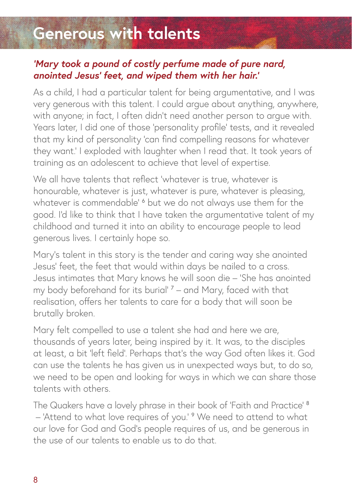## **Generous with talents**

#### *'Mary took a pound of costly perfume made of pure nard, anointed Jesus' feet, and wiped them with her hair.'*

As a child, I had a particular talent for being argumentative, and I was very generous with this talent. I could argue about anything, anywhere, with anyone; in fact, I often didn't need another person to argue with. Years later, I did one of those 'personality profile' tests, and it revealed that my kind of personality 'can find compelling reasons for whatever they want.' I exploded with laughter when I read that. It took years of training as an adolescent to achieve that level of expertise.

We all have talents that reflect 'whatever is true, whatever is honourable, whatever is just, whatever is pure, whatever is pleasing, whatever is commendable'  $^{\circ}$  but we do not always use them for the good. I'd like to think that I have taken the argumentative talent of my childhood and turned it into an ability to encourage people to lead generous lives. I certainly hope so.

Mary's talent in this story is the tender and caring way she anointed Jesus' feet, the feet that would within days be nailed to a cross. Jesus intimates that Mary knows he will soon die – 'She has anointed my body beforehand for its burial' <sup>7</sup> – and Mary, faced with that realisation, offers her talents to care for a body that will soon be brutally broken.

Mary felt compelled to use a talent she had and here we are, thousands of years later, being inspired by it. It was, to the disciples at least, a bit 'left field'. Perhaps that's the way God often likes it. God can use the talents he has given us in unexpected ways but, to do so, we need to be open and looking for ways in which we can share those talents with others.

The Quakers have a lovely phrase in their book of 'Faith and Practice' <sup>8</sup> - 'Attend to what love requires of you.' <sup>9</sup> We need to attend to what our love for God and God's people requires of us, and be generous in the use of our talents to enable us to do that.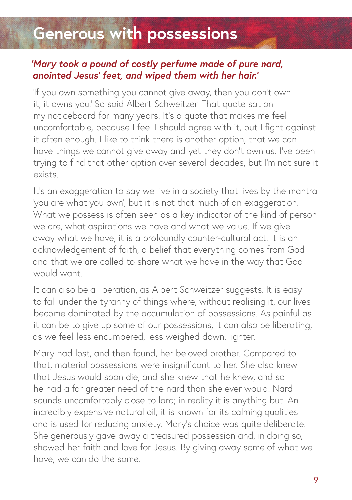### **Generous with possessions**

#### *'Mary took a pound of costly perfume made of pure nard, anointed Jesus' feet, and wiped them with her hair.'*

'If you own something you cannot give away, then you don't own it, it owns you.' So said Albert Schweitzer. That quote sat on my noticeboard for many years. It's a quote that makes me feel uncomfortable, because I feel I should agree with it, but I fight against it often enough. I like to think there is another option, that we can have things we cannot give away and yet they don't own us. I've been trying to find that other option over several decades, but I'm not sure it exists.

It's an exaggeration to say we live in a society that lives by the mantra 'you are what you own', but it is not that much of an exaggeration. What we possess is often seen as a key indicator of the kind of person we are, what aspirations we have and what we value. If we give away what we have, it is a profoundly counter-cultural act. It is an acknowledgement of faith, a belief that everything comes from God and that we are called to share what we have in the way that God would want.

It can also be a liberation, as Albert Schweitzer suggests. It is easy to fall under the tyranny of things where, without realising it, our lives become dominated by the accumulation of possessions. As painful as it can be to give up some of our possessions, it can also be liberating, as we feel less encumbered, less weighed down, lighter.

Mary had lost, and then found, her beloved brother. Compared to that, material possessions were insignificant to her. She also knew that Jesus would soon die, and she knew that he knew, and so he had a far greater need of the nard than she ever would. Nard sounds uncomfortably close to lard; in reality it is anything but. An incredibly expensive natural oil, it is known for its calming qualities and is used for reducing anxiety. Mary's choice was quite deliberate. She generously gave away a treasured possession and, in doing so, showed her faith and love for Jesus. By giving away some of what we have, we can do the same.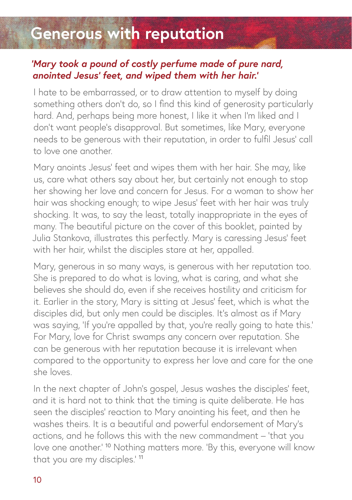### **Generous with reputation**

#### *'Mary took a pound of costly perfume made of pure nard, anointed Jesus' feet, and wiped them with her hair.'*

I hate to be embarrassed, or to draw attention to myself by doing something others don't do, so I find this kind of generosity particularly hard. And, perhaps being more honest, I like it when I'm liked and I don't want people's disapproval. But sometimes, like Mary, everyone needs to be generous with their reputation, in order to fulfil Jesus' call to love one another.

Mary anoints Jesus' feet and wipes them with her hair. She may, like us, care what others say about her, but certainly not enough to stop her showing her love and concern for Jesus. For a woman to show her hair was shocking enough; to wipe Jesus' feet with her hair was truly shocking. It was, to say the least, totally inappropriate in the eyes of many. The beautiful picture on the cover of this booklet, painted by Julia Stankova, illustrates this perfectly. Mary is caressing Jesus' feet with her hair, whilst the disciples stare at her, appalled.

Mary, generous in so many ways, is generous with her reputation too. She is prepared to do what is loving, what is caring, and what she believes she should do, even if she receives hostility and criticism for it. Earlier in the story, Mary is sitting at Jesus' feet, which is what the disciples did, but only men could be disciples. It's almost as if Mary was saying, 'If you're appalled by that, you're really going to hate this.' For Mary, love for Christ swamps any concern over reputation. She can be generous with her reputation because it is irrelevant when compared to the opportunity to express her love and care for the one she loves.

In the next chapter of John's gospel, Jesus washes the disciples' feet, and it is hard not to think that the timing is quite deliberate. He has seen the disciples' reaction to Mary anointing his feet, and then he washes theirs. It is a beautiful and powerful endorsement of Mary's actions, and he follows this with the new commandment – 'that you love one another.' <sup>10</sup> Nothing matters more. 'By this, everyone will know that you are my disciples.' <sup>11</sup>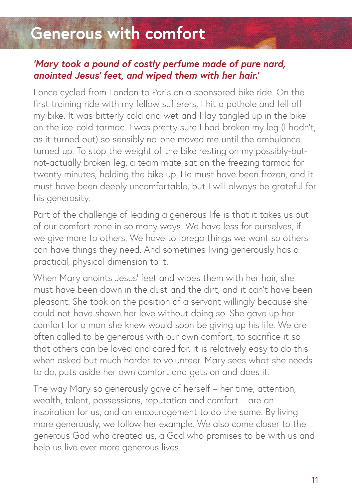### **Generous with comfort**

#### *'Mary took a pound of costly perfume made of pure nard, anointed Jesus' feet, and wiped them with her hair.'*

I once cycled from London to Paris on a sponsored bike ride. On the first training ride with my fellow sufferers, I hit a pothole and fell off my bike. It was bitterly cold and wet and I lay tangled up in the bike on the ice-cold tarmac. I was pretty sure I had broken my leg (I hadn't, as it turned out) so sensibly no-one moved me until the ambulance turned up. To stop the weight of the bike resting on my possibly-butnot-actually broken leg, a team mate sat on the freezing tarmac for twenty minutes, holding the bike up. He must have been frozen, and it must have been deeply uncomfortable, but I will always be grateful for his generosity.

Part of the challenge of leading a generous life is that it takes us out of our comfort zone in so many ways. We have less for ourselves, if we give more to others. We have to forego things we want so others can have things they need. And sometimes living generously has a practical, physical dimension to it.

When Mary anoints Jesus' feet and wipes them with her hair, she must have been down in the dust and the dirt, and it can't have been pleasant. She took on the position of a servant willingly because she could not have shown her love without doing so. She gave up her comfort for a man she knew would soon be giving up his life. We are often called to be generous with our own comfort, to sacrifice it so that others can be loved and cared for. It is relatively easy to do this when asked but much harder to volunteer. Mary sees what she needs to do, puts aside her own comfort and gets on and does it.

The way Mary so generously gave of herself – her time, attention, wealth, talent, possessions, reputation and comfort – are an inspiration for us, and an encouragement to do the same. By living more generously, we follow her example. We also come closer to the generous God who created us, a God who promises to be with us and help us live ever more generous lives.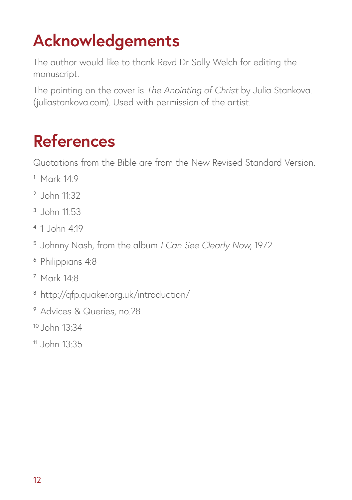# **Acknowledgements**

The author would like to thank Revd Dr Sally Welch for editing the manuscript.

The painting on the cover is *The Anointing of Christ* by Julia Stankova. (juliastankova.com). Used with permission of the artist.

### **References**

Quotations from the Bible are from the New Revised Standard Version.

- Mark 14:9
- John 11:32
- John 11:53
- 1 John 4:19
- Johnny Nash, from the album *I Can See Clearly Now*, 1972
- Philippians 4:8
- Mark 14:8
- http://qfp.quaker.org.uk/introduction/
- Advices & Queries, no.28
- John 13:34
- John 13:35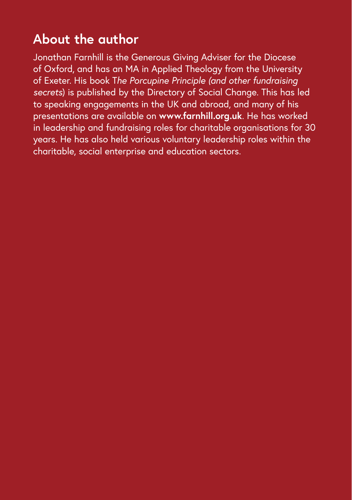#### **About the author**

Jonathan Farnhill is the Generous Giving Adviser for the Diocese of Oxford, and has an MA in Applied Theology from the University of Exeter. His book T*he Porcupine Principle (and other fundraising secrets*) is published by the Directory of Social Change. This has led to speaking engagements in the UK and abroad, and many of his presentations are available on **www.farnhill.org.uk**. He has worked in leadership and fundraising roles for charitable organisations for 30 years. He has also held various voluntary leadership roles within the charitable, social enterprise and education sectors.